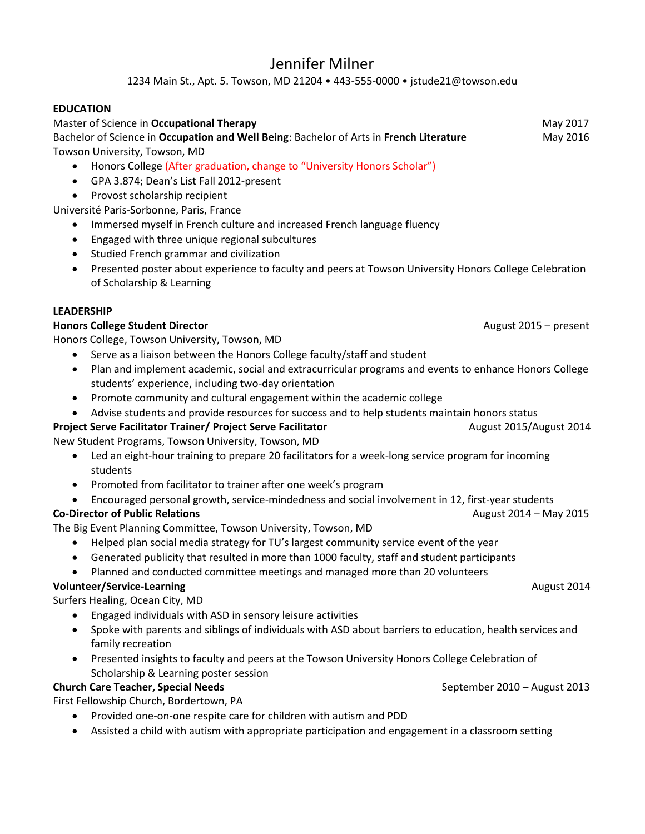# Jennifer Milner

1234 Main St., Apt. 5. Towson, MD 21204 • 443-555-0000 • jstude21@towson.edu

### **EDUCATION**

### Master of Science in **Occupational Therapy** May 2017 Bachelor of Science in **Occupation and Well Being**: Bachelor of Arts in **French Literature** May 2016 Towson University, Towson, MD

- Honors College (After graduation, change to "University Honors Scholar")
- GPA 3.874; Dean's List Fall 2012-present
- Provost scholarship recipient

Université Paris-Sorbonne, Paris, France

- Immersed myself in French culture and increased French language fluency
- Engaged with three unique regional subcultures
- Studied French grammar and civilization
- Presented poster about experience to faculty and peers at Towson University Honors College Celebration of Scholarship & Learning

### **LEADERSHIP**

### **Honors College Student Director August 2015** – present

Honors College, Towson University, Towson, MD

- Serve as a liaison between the Honors College faculty/staff and student
- Plan and implement academic, social and extracurricular programs and events to enhance Honors College students' experience, including two-day orientation
- Promote community and cultural engagement within the academic college
- Advise students and provide resources for success and to help students maintain honors status

### **Project Serve Facilitator Trainer/ Project Serve Facilitator Manual August 2015/August 2014**

New Student Programs, Towson University, Towson, MD

- Led an eight-hour training to prepare 20 facilitators for a week-long service program for incoming students
- Promoted from facilitator to trainer after one week's program
- Encouraged personal growth, service-mindedness and social involvement in 12, first-year students

## **Co-Director of Public Relations Co-Director of Public Relations August 2014 – May 2015**

The Big Event Planning Committee, Towson University, Towson, MD

- Helped plan social media strategy for TU's largest community service event of the year
- Generated publicity that resulted in more than 1000 faculty, staff and student participants
- Planned and conducted committee meetings and managed more than 20 volunteers

# **Volunteer/Service-Learning August 2014**

Surfers Healing, Ocean City, MD

- Engaged individuals with ASD in sensory leisure activities
- Spoke with parents and siblings of individuals with ASD about barriers to education, health services and family recreation
- Presented insights to faculty and peers at the Towson University Honors College Celebration of Scholarship & Learning poster session

# **Church Care Teacher, Special Needs** September 2010 – August 2013

First Fellowship Church, Bordertown, PA

- Provided one-on-one respite care for children with autism and PDD
- Assisted a child with autism with appropriate participation and engagement in a classroom setting